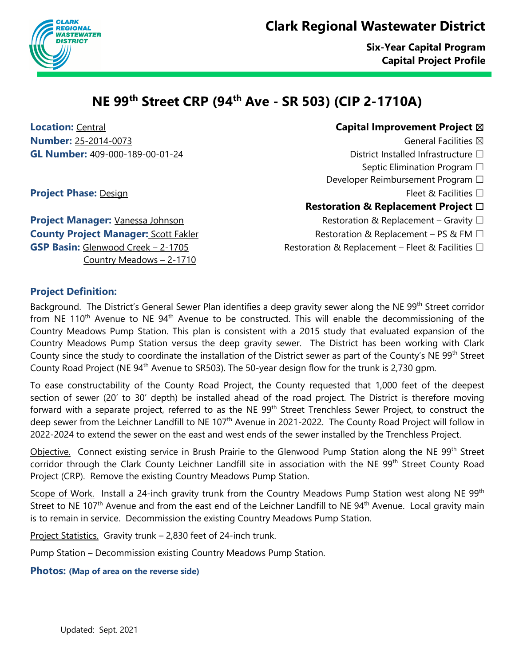## **Clark Regional Wastewater District**



# **NE 99th Street CRP (94th Ave - SR 503) (CIP 2-1710A)**

**Contral Central Capital Improvement Project**  $\boxtimes$ **Number:** 25-2014-0073 and 2009 and 2009 and 2009 and 2009 and 2009 and 2009 and 2009 and 2009 and 2009 and 2009 and 2009 and 2009 and 2009 and 2009 and 2009 and 2009 and 2009 and 2009 and 2009 and 2009 and 2009 and 2009 **GL Number:** 409-000-189-00-01-24 District Installed Infrastructure ☐

- Septic Elimination Program □
- Developer Reimbursement Program □
	-

### **Restoration & Replacement Project** ☐

- 
- 
- **GSP Basin:** Glenwood Creek 2-1705 Restoration & Replacement Fleet & Facilities □

**Project Phase:** Design Fleet & Facilities □

**Project Manager:** Vanessa Johnson Restoration & Replacement – Gravity □ **County Project Manager:** Scott Fakler Restoration & Replacement – PS & FM □ Country Meadows – 2-1710

### **Project Definition:**

Background. The District's General Sewer Plan identifies a deep gravity sewer along the NE 99<sup>th</sup> Street corridor from NE 110<sup>th</sup> Avenue to NE 94<sup>th</sup> Avenue to be constructed. This will enable the decommissioning of the Country Meadows Pump Station. This plan is consistent with a 2015 study that evaluated expansion of the Country Meadows Pump Station versus the deep gravity sewer. The District has been working with Clark County since the study to coordinate the installation of the District sewer as part of the County's NE 99<sup>th</sup> Street County Road Project (NE 94<sup>th</sup> Avenue to SR503). The 50-year design flow for the trunk is 2,730 gpm.

To ease constructability of the County Road Project, the County requested that 1,000 feet of the deepest section of sewer (20' to 30' depth) be installed ahead of the road project. The District is therefore moving forward with a separate project, referred to as the NE 99<sup>th</sup> Street Trenchless Sewer Project, to construct the deep sewer from the Leichner Landfill to NE 107<sup>th</sup> Avenue in 2021-2022. The County Road Project will follow in 2022-2024 to extend the sewer on the east and west ends of the sewer installed by the Trenchless Project.

Objective. Connect existing service in Brush Prairie to the Glenwood Pump Station along the NE 99<sup>th</sup> Street corridor through the Clark County Leichner Landfill site in association with the NE 99<sup>th</sup> Street County Road Project (CRP). Remove the existing Country Meadows Pump Station.

Scope of Work. Install a 24-inch gravity trunk from the Country Meadows Pump Station west along NE 99<sup>th</sup> Street to NE 107<sup>th</sup> Avenue and from the east end of the Leichner Landfill to NE 94<sup>th</sup> Avenue. Local gravity main is to remain in service. Decommission the existing Country Meadows Pump Station.

Project Statistics. Gravity trunk – 2,830 feet of 24-inch trunk.

Pump Station – Decommission existing Country Meadows Pump Station.

#### **Photos: (Map of area on the reverse side)**